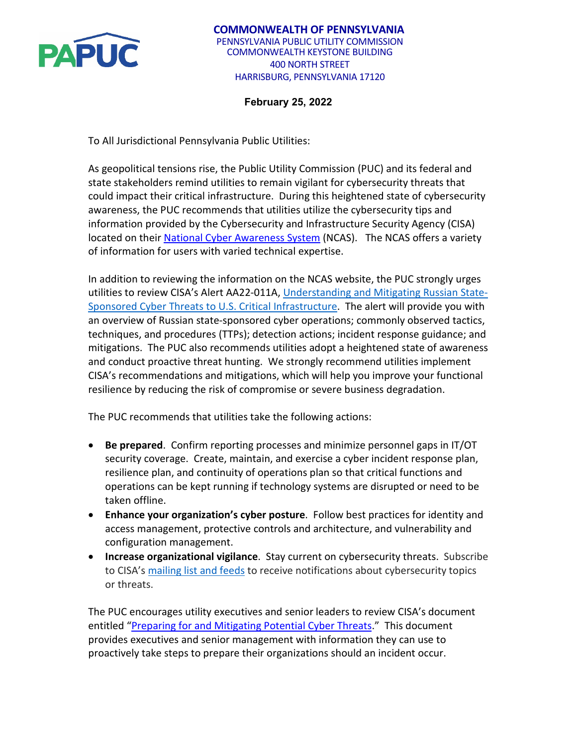

## **February 25, 2022**

To All Jurisdictional Pennsylvania Public Utilities:

As geopolitical tensions rise, the Public Utility Commission (PUC) and its federal and state stakeholders remind utilities to remain vigilant for cybersecurity threats that could impact their critical infrastructure. During this heightened state of cybersecurity awareness, the PUC recommends that utilities utilize the cybersecurity tips and information provided by the Cybersecurity and Infrastructure Security Agency (CISA) located on their [National Cyber Awareness System](https://www.cisa.gov/uscert/ncas) (NCAS). The NCAS offers a variety of information for users with varied technical expertise.

In addition to reviewing the information on the NCAS website, the PUC strongly urges utilities to review CISA's Alert AA22-011A, [Understanding and Mitigating Russian State-](https://gcc02.safelinks.protection.outlook.com/?url=https%3A%2F%2Fwww.cisa.gov%2Fuscert%2Fncas%2Falerts%2Faa22-010a&data=04%7C01%7Cmiholko%40pa.gov%7C1035a5265161407bb43f08d9d51e9c8d%7C418e284101284dd59b6c47fc5a9a1bde%7C0%7C0%7C637775149719263881%7CUnknown%7CTWFpbGZsb3d8eyJWIjoiMC4wLjAwMDAiLCJQIjoiV2luMzIiLCJBTiI6Ik1haWwiLCJXVCI6Mn0%3D%7C3000&sdata=ozwGg2fpvcQCXGO987K%2B230VBV5arhXs8EjcJwS5Xrg%3D&reserved=0)[Sponsored Cyber Threats to U.S. Critical Infrastructure.](https://gcc02.safelinks.protection.outlook.com/?url=https%3A%2F%2Fwww.cisa.gov%2Fuscert%2Fncas%2Falerts%2Faa22-010a&data=04%7C01%7Cmiholko%40pa.gov%7C1035a5265161407bb43f08d9d51e9c8d%7C418e284101284dd59b6c47fc5a9a1bde%7C0%7C0%7C637775149719263881%7CUnknown%7CTWFpbGZsb3d8eyJWIjoiMC4wLjAwMDAiLCJQIjoiV2luMzIiLCJBTiI6Ik1haWwiLCJXVCI6Mn0%3D%7C3000&sdata=ozwGg2fpvcQCXGO987K%2B230VBV5arhXs8EjcJwS5Xrg%3D&reserved=0) The alert will provide you with an overview of Russian state-sponsored cyber operations; commonly observed tactics, techniques, and procedures (TTPs); detection actions; incident response guidance; and mitigations. The PUC also recommends utilities adopt a heightened state of awareness and conduct proactive threat hunting. We strongly recommend utilities implement CISA's recommendations and mitigations, which will help you improve your functional resilience by reducing the risk of compromise or severe business degradation.

The PUC recommends that utilities take the following actions:

- **Be prepared**. Confirm reporting processes and minimize personnel gaps in IT/OT security coverage. Create, maintain, and exercise a cyber incident response plan, resilience plan, and continuity of operations plan so that critical functions and operations can be kept running if technology systems are disrupted or need to be taken offline.
- **Enhance your organization's cyber posture**. Follow best practices for identity and access management, protective controls and architecture, and vulnerability and configuration management.
- **Increase organizational vigilance**. Stay current on cybersecurity threats. Subscribe to CISA's [mailing list and feeds](https://gcc02.safelinks.protection.outlook.com/?url=https%3A%2F%2Fwww.cisa.gov%2Fuscert%2Fmailing-lists-and-feeds&data=04%7C01%7Cmiholko%40pa.gov%7C1035a5265161407bb43f08d9d51e9c8d%7C418e284101284dd59b6c47fc5a9a1bde%7C0%7C0%7C637775149719263881%7CUnknown%7CTWFpbGZsb3d8eyJWIjoiMC4wLjAwMDAiLCJQIjoiV2luMzIiLCJBTiI6Ik1haWwiLCJXVCI6Mn0%3D%7C3000&sdata=fvs4b4qF9yHrdhlz4a2Y%2FTnjrh%2BzA0gs6bJaG3VExA0%3D&reserved=0) to receive notifications about cybersecurity topics or threats.

The PUC encourages utility executives and senior leaders to review CISA's document entitled ["Preparing for and Mitigating Potential Cyber Threats.](https://www.cisa.gov/sites/default/files/publications/CISA_INSIGHTS-Preparing_For_and_Mitigating_Potential_Cyber_Threats-508C.pdf)" This document provides executives and senior management with information they can use to proactively take steps to prepare their organizations should an incident occur.